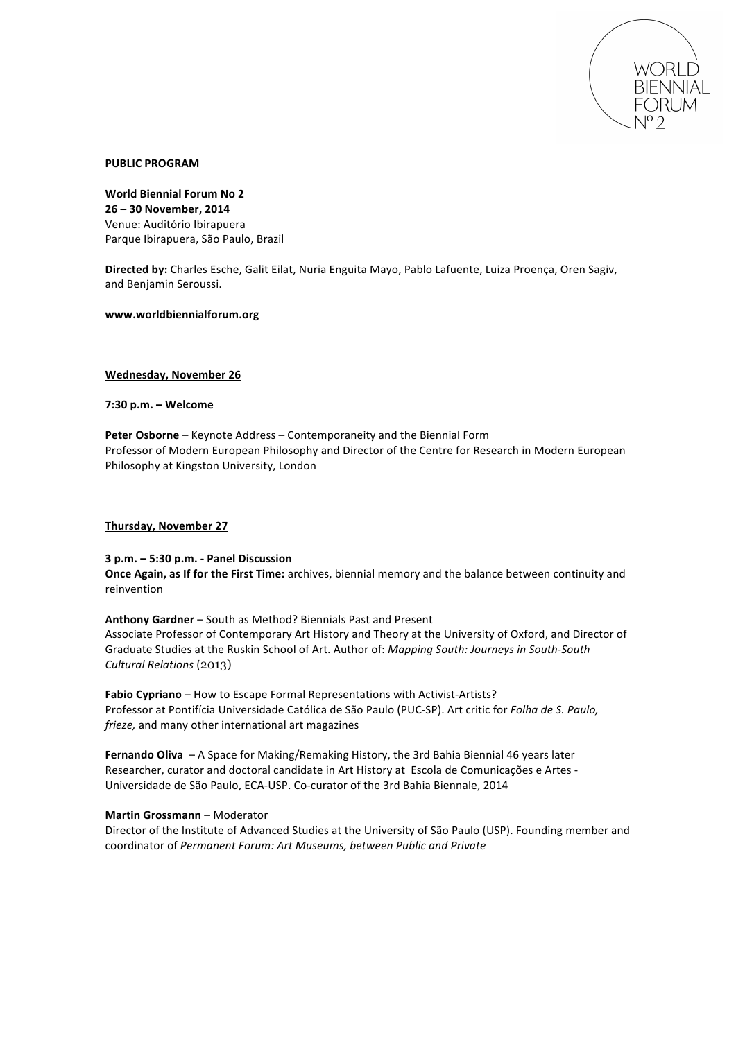

#### **PUBLIC'PROGRAM**

World Biennial Forum No 2 **26'–'30'November,'2014** Venue: Auditório Ibirapuera Parque Ibirapuera, São Paulo, Brazil

Directed by: Charles Esche, Galit Eilat, Nuria Enguita Mayo, Pablo Lafuente, Luiza Proença, Oren Sagiv, and Benjamin Seroussi.

**www.worldbiennialforum.org**

#### Wednesday, November 26

**7:30'p.m. – Welcome**

**Peter Osborne** – Keynote Address – Contemporaneity and the Biennial Form Professor of Modern European Philosophy and Director of the Centre for Research in Modern European Philosophy at Kingston University, London

#### **Thursday, November 27**

# **3'p.m. – 5:30'p.m.'S Panel'Discussion**

**Once Again, as If for the First Time:** archives, biennial memory and the balance between continuity and reinvention

Anthony Gardner – South as Method? Biennials Past and Present Associate Professor of Contemporary Art History and Theory at the University of Oxford, and Director of Graduate Studies at the Ruskin School of Art. Author of: *Mapping South: Journeys in South-South Cultural'Relations'*(2013)

Fabio Cypriano – How to Escape Formal Representations with Activist-Artists? Professor at Pontifícia Universidade Católica de São Paulo (PUC-SP). Art critic for *Folha de S. Paulo*, *frieze*, and many other international art magazines

Fernando Oliva – A Space for Making/Remaking History, the 3rd Bahia Biennial 46 years later Researcher, curator and doctoral candidate in Art History at Escola de Comunicações e Artes -Universidade de São Paulo, ECA-USP. Co-curator of the 3rd Bahia Biennale, 2014

# **Martin Grossmann** – Moderator

Director of the Institute of Advanced Studies at the University of São Paulo (USP). Founding member and coordinator!of!*Permanent'Forum:'Art'Museums,'between'Public'and'Private*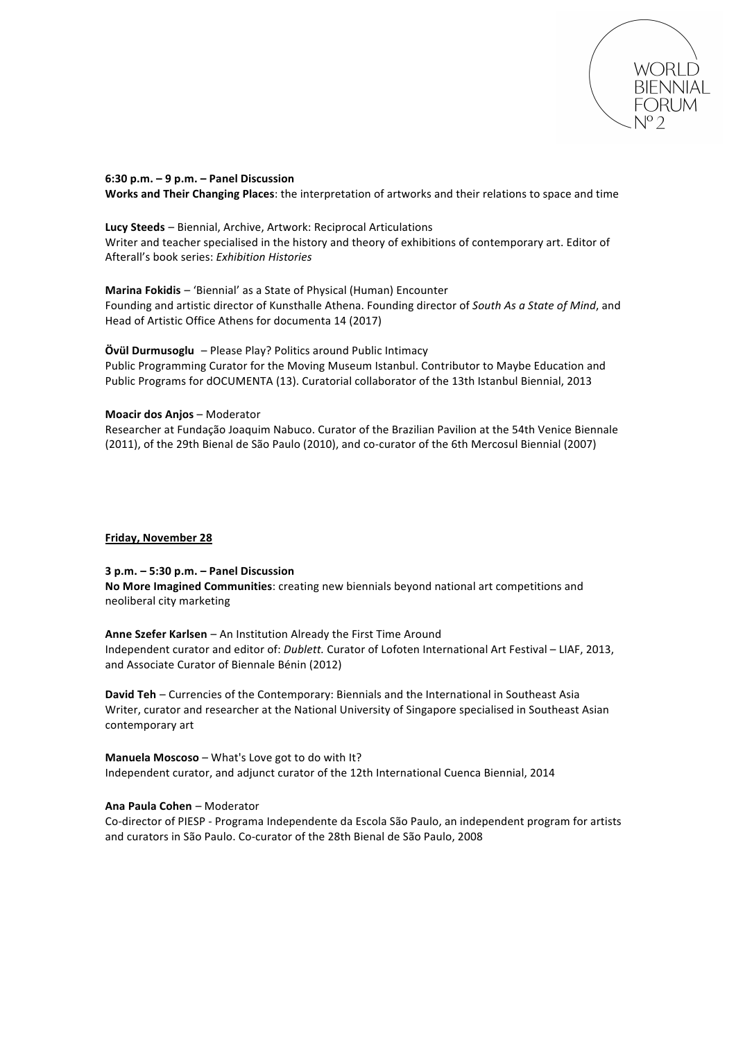

#### **6:30'p.m.'–'9'p.m.'– Panel'Discussion**

Works and Their Changing Places: the interpretation of artworks and their relations to space and time

Lucy Steeds - Biennial, Archive, Artwork: Reciprocal Articulations Writer and teacher specialised in the history and theory of exhibitions of contemporary art. Editor of Afterall's!book!series: *Exhibition'Histories*

**Marina Fokidis** – 'Biennial' as a State of Physical (Human) Encounter Founding and artistic director of Kunsthalle Athena. Founding director of *South As a State of Mind*, and Head of Artistic Office Athens for documenta 14 (2017)

#### **Övül Durmusoglu** – Please Play? Politics around Public Intimacy

Public Programming Curator for the Moving Museum Istanbul. Contributor to Maybe Education and Public Programs for dOCUMENTA (13). Curatorial collaborator of the 13th Istanbul Biennial, 2013

#### **Moacir dos Anjos - Moderator**

Researcher at Fundação Joaquim Nabuco. Curator of the Brazilian Pavilion at the 54th Venice Biennale (2011), of the 29th Bienal de São Paulo (2010), and co-curator of the 6th Mercosul Biennial (2007)

#### **Friday, November 28**

#### **3'p.m.'–'5:30 p.m.'– Panel'Discussion**

No More Imagined Communities: creating new biennials beyond national art competitions and neoliberal city marketing

**Anne Szefer Karlsen** – An Institution Already the First Time Around Independent curator and editor of: *Dublett.* Curator of Lofoten International Art Festival – LIAF, 2013, and Associate Curator of Biennale Bénin (2012)

David Teh – Currencies of the Contemporary: Biennials and the International in Southeast Asia Writer, curator and researcher at the National University of Singapore specialised in Southeast Asian contemporary!art

**Manuela Moscoso** – What's Love got to do with It? Independent curator, and adjunct curator of the 12th International Cuenca Biennial, 2014

# **Ana Paula Cohen** – Moderator

Co-director of PIESP - Programa Independente da Escola São Paulo, an independent program for artists and curators in São Paulo. Co-curator of the 28th Bienal de São Paulo, 2008